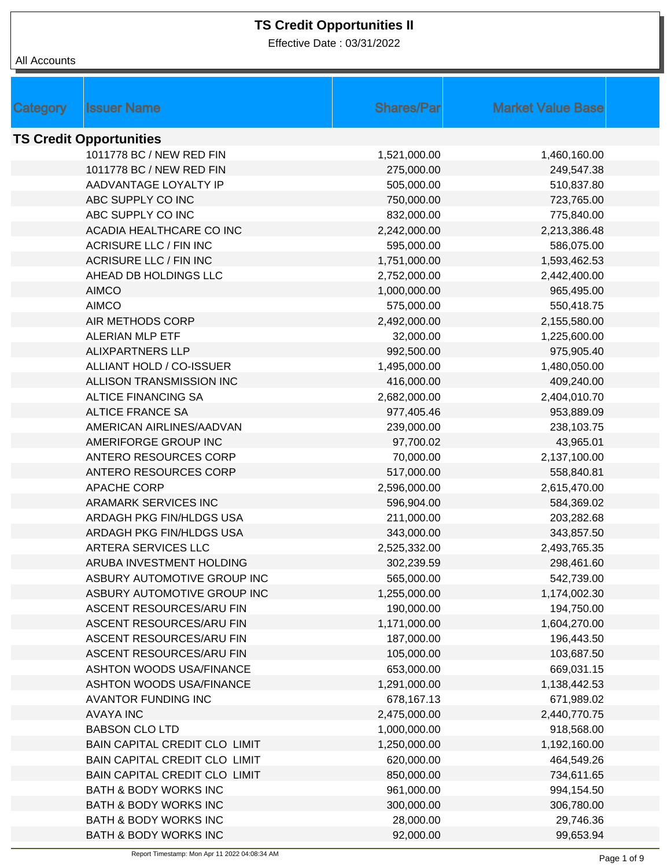Effective Date : 03/31/2022

| <b>Issuer Name</b>               | <b>Shares/Par</b> | <b>Market Value Base</b> |  |  |  |
|----------------------------------|-------------------|--------------------------|--|--|--|
| Category                         |                   |                          |  |  |  |
| <b>TS Credit Opportunities</b>   |                   |                          |  |  |  |
| 1011778 BC / NEW RED FIN         | 1,521,000.00      | 1,460,160.00             |  |  |  |
| 1011778 BC / NEW RED FIN         | 275,000.00        | 249,547.38               |  |  |  |
| AADVANTAGE LOYALTY IP            | 505,000.00        | 510,837.80               |  |  |  |
| ABC SUPPLY CO INC                | 750,000.00        | 723,765.00               |  |  |  |
| ABC SUPPLY CO INC                | 832,000.00        | 775,840.00               |  |  |  |
| ACADIA HEALTHCARE CO INC         | 2,242,000.00      | 2,213,386.48             |  |  |  |
| <b>ACRISURE LLC / FIN INC</b>    | 595,000.00        | 586,075.00               |  |  |  |
| <b>ACRISURE LLC / FIN INC</b>    | 1,751,000.00      | 1,593,462.53             |  |  |  |
| AHEAD DB HOLDINGS LLC            | 2,752,000.00      | 2,442,400.00             |  |  |  |
| <b>AIMCO</b>                     | 1,000,000.00      | 965,495.00               |  |  |  |
| <b>AIMCO</b>                     | 575,000.00        | 550,418.75               |  |  |  |
| AIR METHODS CORP                 | 2,492,000.00      | 2,155,580.00             |  |  |  |
| <b>ALERIAN MLP ETF</b>           | 32,000.00         | 1,225,600.00             |  |  |  |
| <b>ALIXPARTNERS LLP</b>          | 992,500.00        | 975,905.40               |  |  |  |
| ALLIANT HOLD / CO-ISSUER         | 1,495,000.00      | 1,480,050.00             |  |  |  |
| ALLISON TRANSMISSION INC         | 416,000.00        | 409,240.00               |  |  |  |
| <b>ALTICE FINANCING SA</b>       | 2,682,000.00      | 2,404,010.70             |  |  |  |
| <b>ALTICE FRANCE SA</b>          | 977,405.46        | 953,889.09               |  |  |  |
| AMERICAN AIRLINES/AADVAN         | 239,000.00        | 238,103.75               |  |  |  |
| AMERIFORGE GROUP INC             | 97,700.02         | 43,965.01                |  |  |  |
| ANTERO RESOURCES CORP            | 70,000.00         | 2,137,100.00             |  |  |  |
| ANTERO RESOURCES CORP            | 517,000.00        | 558,840.81               |  |  |  |
| <b>APACHE CORP</b>               | 2,596,000.00      | 2,615,470.00             |  |  |  |
| ARAMARK SERVICES INC             | 596,904.00        | 584,369.02               |  |  |  |
| ARDAGH PKG FIN/HLDGS USA         | 211,000.00        | 203,282.68               |  |  |  |
| ARDAGH PKG FIN/HLDGS USA         | 343,000.00        | 343,857.50               |  |  |  |
| ARTERA SERVICES LLC              | 2,525,332.00      | 2,493,765.35             |  |  |  |
| ARUBA INVESTMENT HOLDING         | 302,239.59        | 298,461.60               |  |  |  |
| ASBURY AUTOMOTIVE GROUP INC      | 565,000.00        | 542,739.00               |  |  |  |
| ASBURY AUTOMOTIVE GROUP INC      | 1,255,000.00      | 1,174,002.30             |  |  |  |
| ASCENT RESOURCES/ARU FIN         | 190,000.00        | 194,750.00               |  |  |  |
| ASCENT RESOURCES/ARU FIN         | 1,171,000.00      | 1,604,270.00             |  |  |  |
| ASCENT RESOURCES/ARU FIN         | 187,000.00        | 196,443.50               |  |  |  |
| ASCENT RESOURCES/ARU FIN         | 105,000.00        | 103,687.50               |  |  |  |
| <b>ASHTON WOODS USA/FINANCE</b>  | 653,000.00        | 669,031.15               |  |  |  |
| <b>ASHTON WOODS USA/FINANCE</b>  | 1,291,000.00      | 1,138,442.53             |  |  |  |
| <b>AVANTOR FUNDING INC</b>       | 678,167.13        | 671,989.02               |  |  |  |
| <b>AVAYA INC</b>                 | 2,475,000.00      | 2,440,770.75             |  |  |  |
| <b>BABSON CLO LTD</b>            | 1,000,000.00      | 918,568.00               |  |  |  |
| BAIN CAPITAL CREDIT CLO LIMIT    | 1,250,000.00      | 1,192,160.00             |  |  |  |
| BAIN CAPITAL CREDIT CLO LIMIT    | 620,000.00        | 464,549.26               |  |  |  |
| BAIN CAPITAL CREDIT CLO LIMIT    | 850,000.00        | 734,611.65               |  |  |  |
| BATH & BODY WORKS INC            | 961,000.00        | 994,154.50               |  |  |  |
| <b>BATH &amp; BODY WORKS INC</b> | 300,000.00        | 306,780.00               |  |  |  |
| <b>BATH &amp; BODY WORKS INC</b> | 28,000.00         | 29,746.36                |  |  |  |
| BATH & BODY WORKS INC            | 92,000.00         | 99,653.94                |  |  |  |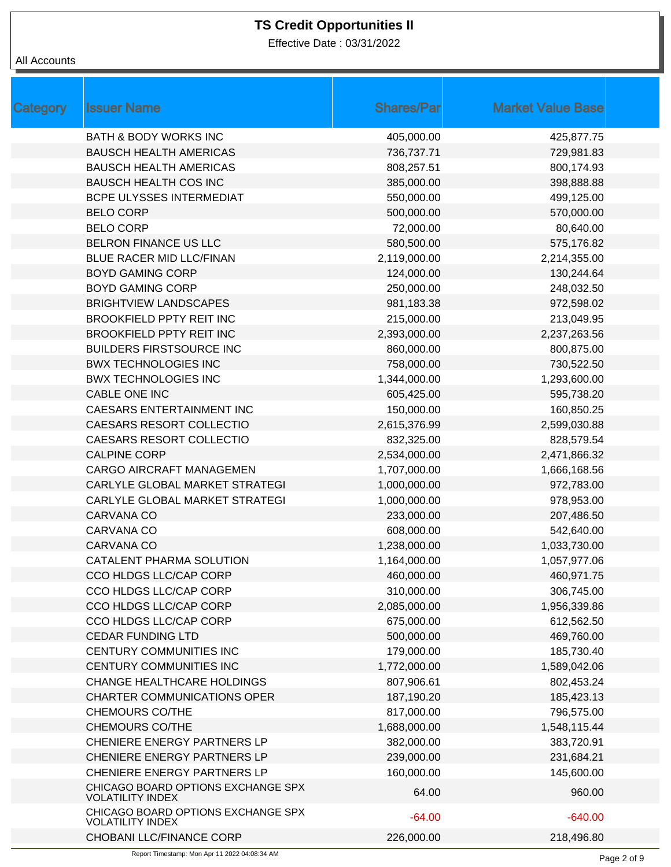Effective Date : 03/31/2022

| Category | <b>Issuer Name</b>                                            | <b>Shares/Par</b> | <b>Market Value Base</b> |  |
|----------|---------------------------------------------------------------|-------------------|--------------------------|--|
|          | <b>BATH &amp; BODY WORKS INC</b>                              | 405,000.00        | 425,877.75               |  |
|          | <b>BAUSCH HEALTH AMERICAS</b>                                 | 736,737.71        | 729,981.83               |  |
|          | <b>BAUSCH HEALTH AMERICAS</b>                                 | 808,257.51        | 800,174.93               |  |
|          | <b>BAUSCH HEALTH COS INC</b>                                  | 385,000.00        | 398,888.88               |  |
|          | BCPE ULYSSES INTERMEDIAT                                      | 550,000.00        | 499,125.00               |  |
|          | <b>BELO CORP</b>                                              | 500,000.00        | 570,000.00               |  |
|          | <b>BELO CORP</b>                                              | 72,000.00         | 80,640.00                |  |
|          | BELRON FINANCE US LLC                                         | 580,500.00        | 575,176.82               |  |
|          | BLUE RACER MID LLC/FINAN                                      | 2,119,000.00      | 2,214,355.00             |  |
|          | <b>BOYD GAMING CORP</b>                                       | 124,000.00        | 130,244.64               |  |
|          | <b>BOYD GAMING CORP</b>                                       | 250,000.00        | 248,032.50               |  |
|          | <b>BRIGHTVIEW LANDSCAPES</b>                                  | 981,183.38        | 972,598.02               |  |
|          | <b>BROOKFIELD PPTY REIT INC</b>                               | 215,000.00        | 213,049.95               |  |
|          | <b>BROOKFIELD PPTY REIT INC</b>                               | 2,393,000.00      | 2,237,263.56             |  |
|          | <b>BUILDERS FIRSTSOURCE INC</b>                               | 860,000.00        | 800,875.00               |  |
|          | <b>BWX TECHNOLOGIES INC</b>                                   | 758,000.00        | 730,522.50               |  |
|          | <b>BWX TECHNOLOGIES INC</b>                                   | 1,344,000.00      | 1,293,600.00             |  |
|          | CABLE ONE INC                                                 | 605,425.00        | 595,738.20               |  |
|          | CAESARS ENTERTAINMENT INC                                     | 150,000.00        | 160,850.25               |  |
|          | CAESARS RESORT COLLECTIO                                      | 2,615,376.99      | 2,599,030.88             |  |
|          | CAESARS RESORT COLLECTIO                                      | 832,325.00        | 828,579.54               |  |
|          | <b>CALPINE CORP</b>                                           | 2,534,000.00      | 2,471,866.32             |  |
|          | <b>CARGO AIRCRAFT MANAGEMEN</b>                               | 1,707,000.00      | 1,666,168.56             |  |
|          | CARLYLE GLOBAL MARKET STRATEGI                                | 1,000,000.00      | 972,783.00               |  |
|          | CARLYLE GLOBAL MARKET STRATEGI                                | 1,000,000.00      | 978,953.00               |  |
|          | CARVANA CO                                                    | 233,000.00        | 207,486.50               |  |
|          | CARVANA CO                                                    | 608,000.00        | 542,640.00               |  |
|          | CARVANA CO                                                    | 1,238,000.00      | 1,033,730.00             |  |
|          | CATALENT PHARMA SOLUTION                                      | 1,164,000.00      | 1,057,977.06             |  |
|          | CCO HLDGS LLC/CAP CORP                                        | 460,000.00        | 460,971.75               |  |
|          | CCO HLDGS LLC/CAP CORP                                        | 310,000.00        | 306,745.00               |  |
|          | CCO HLDGS LLC/CAP CORP                                        | 2,085,000.00      | 1,956,339.86             |  |
|          | CCO HLDGS LLC/CAP CORP                                        | 675,000.00        | 612,562.50               |  |
|          | <b>CEDAR FUNDING LTD</b>                                      | 500,000.00        | 469,760.00               |  |
|          | CENTURY COMMUNITIES INC                                       | 179,000.00        | 185,730.40               |  |
|          | CENTURY COMMUNITIES INC                                       | 1,772,000.00      | 1,589,042.06             |  |
|          | <b>CHANGE HEALTHCARE HOLDINGS</b>                             | 807,906.61        | 802,453.24               |  |
|          | <b>CHARTER COMMUNICATIONS OPER</b>                            | 187,190.20        | 185,423.13               |  |
|          | <b>CHEMOURS CO/THE</b>                                        | 817,000.00        | 796,575.00               |  |
|          | <b>CHEMOURS CO/THE</b>                                        | 1,688,000.00      | 1,548,115.44             |  |
|          | CHENIERE ENERGY PARTNERS LP                                   | 382,000.00        | 383,720.91               |  |
|          | CHENIERE ENERGY PARTNERS LP                                   | 239,000.00        | 231,684.21               |  |
|          | CHENIERE ENERGY PARTNERS LP                                   | 160,000.00        | 145,600.00               |  |
|          | CHICAGO BOARD OPTIONS EXCHANGE SPX<br><b>VOLATILITY INDEX</b> | 64.00             | 960.00                   |  |
|          | CHICAGO BOARD OPTIONS EXCHANGE SPX<br><b>VOLATILITY INDEX</b> | $-64.00$          | $-640.00$                |  |
|          | CHOBANI LLC/FINANCE CORP                                      | 226,000.00        | 218,496.80               |  |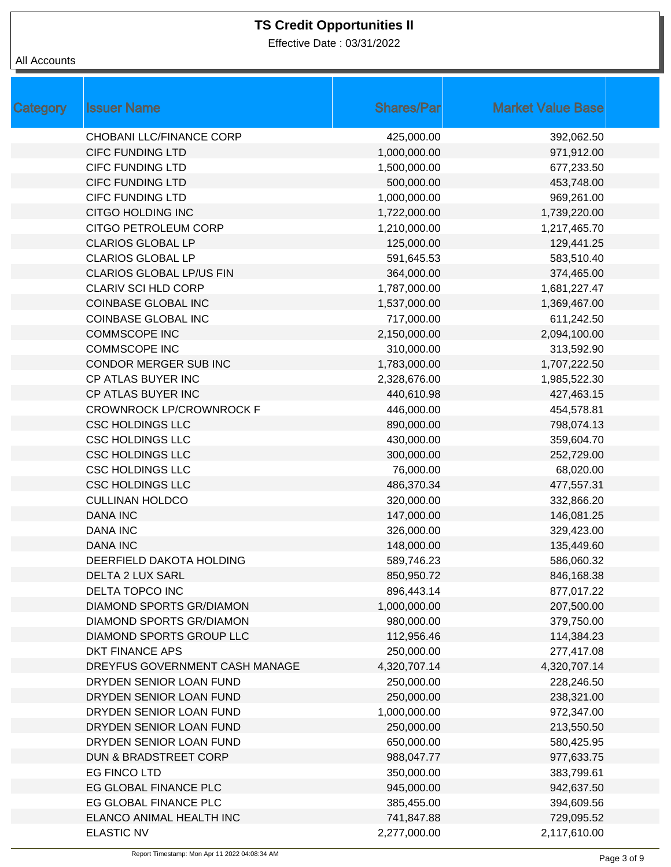Effective Date : 03/31/2022

| <b>Category</b> | <b>Issuer Name</b>              | <b>Shares/Par</b> | <b>Market Value Base</b> |
|-----------------|---------------------------------|-------------------|--------------------------|
|                 | CHOBANI LLC/FINANCE CORP        | 425,000.00        | 392,062.50               |
|                 | <b>CIFC FUNDING LTD</b>         | 1,000,000.00      | 971,912.00               |
|                 | <b>CIFC FUNDING LTD</b>         | 1,500,000.00      | 677,233.50               |
|                 | <b>CIFC FUNDING LTD</b>         | 500,000.00        | 453,748.00               |
|                 | <b>CIFC FUNDING LTD</b>         | 1,000,000.00      | 969,261.00               |
|                 | CITGO HOLDING INC               | 1,722,000.00      | 1,739,220.00             |
|                 | CITGO PETROLEUM CORP            | 1,210,000.00      | 1,217,465.70             |
|                 | <b>CLARIOS GLOBAL LP</b>        | 125,000.00        | 129,441.25               |
|                 | <b>CLARIOS GLOBAL LP</b>        | 591,645.53        | 583,510.40               |
|                 | <b>CLARIOS GLOBAL LP/US FIN</b> | 364,000.00        | 374,465.00               |
|                 | <b>CLARIV SCI HLD CORP</b>      | 1,787,000.00      | 1,681,227.47             |
|                 | <b>COINBASE GLOBAL INC</b>      | 1,537,000.00      | 1,369,467.00             |
|                 | <b>COINBASE GLOBAL INC</b>      | 717,000.00        | 611,242.50               |
|                 | <b>COMMSCOPE INC</b>            | 2,150,000.00      | 2,094,100.00             |
|                 | <b>COMMSCOPE INC</b>            | 310,000.00        | 313,592.90               |
|                 | CONDOR MERGER SUB INC           | 1,783,000.00      | 1,707,222.50             |
|                 | CP ATLAS BUYER INC              | 2,328,676.00      | 1,985,522.30             |
|                 | CP ATLAS BUYER INC              | 440,610.98        | 427,463.15               |
|                 | <b>CROWNROCK LP/CROWNROCK F</b> | 446,000.00        | 454,578.81               |
|                 | <b>CSC HOLDINGS LLC</b>         | 890,000.00        | 798,074.13               |
|                 | <b>CSC HOLDINGS LLC</b>         | 430,000.00        | 359,604.70               |
|                 | <b>CSC HOLDINGS LLC</b>         | 300,000.00        | 252,729.00               |
|                 | <b>CSC HOLDINGS LLC</b>         | 76,000.00         | 68,020.00                |
|                 | <b>CSC HOLDINGS LLC</b>         | 486,370.34        | 477,557.31               |
|                 | <b>CULLINAN HOLDCO</b>          | 320,000.00        | 332,866.20               |
|                 | <b>DANA INC</b>                 | 147,000.00        | 146,081.25               |
|                 | <b>DANA INC</b>                 | 326,000.00        | 329,423.00               |
|                 | <b>DANA INC</b>                 | 148,000.00        | 135,449.60               |
|                 | DEERFIELD DAKOTA HOLDING        | 589,746.23        | 586,060.32               |
|                 | <b>DELTA 2 LUX SARL</b>         | 850,950.72        | 846,168.38               |
|                 | DELTA TOPCO INC                 | 896,443.14        | 877,017.22               |
|                 | DIAMOND SPORTS GR/DIAMON        | 1,000,000.00      | 207,500.00               |
|                 | <b>DIAMOND SPORTS GR/DIAMON</b> | 980,000.00        | 379,750.00               |
|                 | DIAMOND SPORTS GROUP LLC        | 112,956.46        | 114,384.23               |
|                 | DKT FINANCE APS                 | 250,000.00        | 277,417.08               |
|                 | DREYFUS GOVERNMENT CASH MANAGE  | 4,320,707.14      | 4,320,707.14             |
|                 | DRYDEN SENIOR LOAN FUND         | 250,000.00        | 228,246.50               |
|                 | DRYDEN SENIOR LOAN FUND         | 250,000.00        | 238,321.00               |
|                 | DRYDEN SENIOR LOAN FUND         | 1,000,000.00      | 972,347.00               |
|                 | DRYDEN SENIOR LOAN FUND         | 250,000.00        | 213,550.50               |
|                 | DRYDEN SENIOR LOAN FUND         | 650,000.00        | 580,425.95               |
|                 | DUN & BRADSTREET CORP           | 988,047.77        | 977,633.75               |
|                 | EG FINCO LTD                    | 350,000.00        | 383,799.61               |
|                 | EG GLOBAL FINANCE PLC           | 945,000.00        | 942,637.50               |
|                 | EG GLOBAL FINANCE PLC           | 385,455.00        | 394,609.56               |
|                 | ELANCO ANIMAL HEALTH INC        | 741,847.88        | 729,095.52               |
|                 | <b>ELASTIC NV</b>               | 2,277,000.00      | 2,117,610.00             |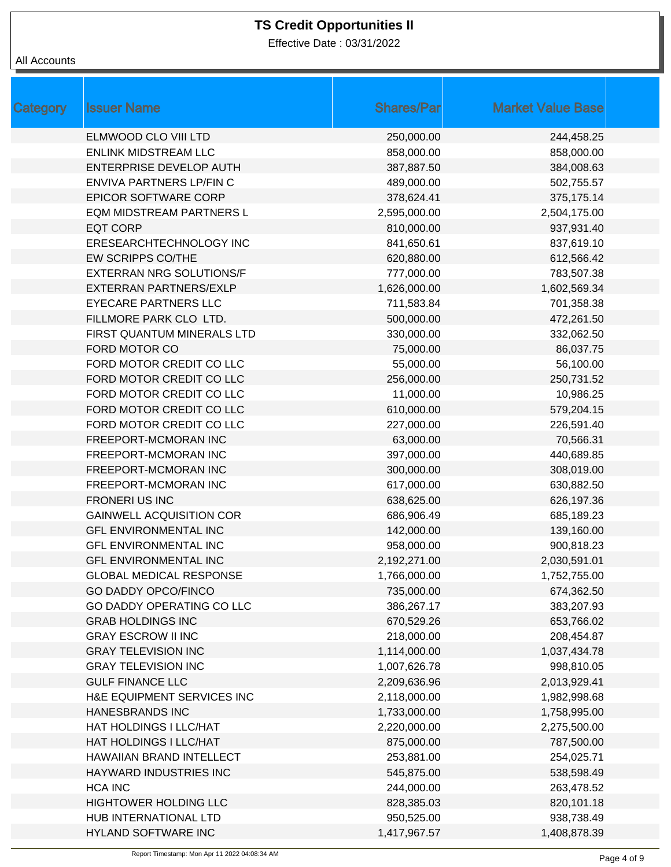Effective Date : 03/31/2022

| Category | <b>Issuer Name</b>              | <b>Shares/Par</b> | <b>Market Value Base</b> |
|----------|---------------------------------|-------------------|--------------------------|
|          | ELMWOOD CLO VIII LTD            | 250,000.00        | 244,458.25               |
|          | <b>ENLINK MIDSTREAM LLC</b>     | 858,000.00        | 858,000.00               |
|          | ENTERPRISE DEVELOP AUTH         | 387,887.50        | 384,008.63               |
|          | ENVIVA PARTNERS LP/FIN C        | 489,000.00        | 502,755.57               |
|          | <b>EPICOR SOFTWARE CORP</b>     | 378,624.41        | 375,175.14               |
|          | EQM MIDSTREAM PARTNERS L        | 2,595,000.00      | 2,504,175.00             |
|          | <b>EQT CORP</b>                 | 810,000.00        | 937,931.40               |
|          | ERESEARCHTECHNOLOGY INC         | 841,650.61        | 837,619.10               |
|          | EW SCRIPPS CO/THE               | 620,880.00        | 612,566.42               |
|          | <b>EXTERRAN NRG SOLUTIONS/F</b> | 777,000.00        | 783,507.38               |
|          | EXTERRAN PARTNERS/EXLP          | 1,626,000.00      | 1,602,569.34             |
|          | <b>EYECARE PARTNERS LLC</b>     | 711,583.84        | 701,358.38               |
|          | FILLMORE PARK CLO LTD.          | 500,000.00        | 472,261.50               |
|          | FIRST QUANTUM MINERALS LTD      | 330,000.00        | 332,062.50               |
|          | FORD MOTOR CO                   | 75,000.00         | 86,037.75                |
|          | FORD MOTOR CREDIT CO LLC        | 55,000.00         | 56,100.00                |
|          | FORD MOTOR CREDIT CO LLC        | 256,000.00        | 250,731.52               |
|          | FORD MOTOR CREDIT CO LLC        | 11,000.00         | 10,986.25                |
|          | FORD MOTOR CREDIT CO LLC        | 610,000.00        | 579,204.15               |
|          | FORD MOTOR CREDIT CO LLC        | 227,000.00        | 226,591.40               |
|          | FREEPORT-MCMORAN INC            | 63,000.00         | 70,566.31                |
|          | FREEPORT-MCMORAN INC            | 397,000.00        | 440,689.85               |
|          | FREEPORT-MCMORAN INC            | 300,000.00        | 308,019.00               |
|          | FREEPORT-MCMORAN INC            | 617,000.00        | 630,882.50               |
|          | <b>FRONERI US INC</b>           | 638,625.00        | 626,197.36               |
|          | <b>GAINWELL ACQUISITION COR</b> | 686,906.49        | 685,189.23               |
|          | <b>GFL ENVIRONMENTAL INC</b>    | 142,000.00        | 139,160.00               |
|          | <b>GFL ENVIRONMENTAL INC</b>    | 958,000.00        | 900,818.23               |
|          | <b>GFL ENVIRONMENTAL INC</b>    | 2,192,271.00      | 2,030,591.01             |
|          | <b>GLOBAL MEDICAL RESPONSE</b>  | 1,766,000.00      | 1,752,755.00             |
|          | <b>GO DADDY OPCO/FINCO</b>      | 735,000.00        | 674,362.50               |
|          | GO DADDY OPERATING CO LLC       | 386,267.17        | 383,207.93               |
|          | <b>GRAB HOLDINGS INC</b>        | 670,529.26        | 653,766.02               |
|          | <b>GRAY ESCROW II INC</b>       | 218,000.00        | 208,454.87               |
|          | <b>GRAY TELEVISION INC</b>      | 1,114,000.00      | 1,037,434.78             |
|          | <b>GRAY TELEVISION INC</b>      | 1,007,626.78      | 998,810.05               |
|          | <b>GULF FINANCE LLC</b>         | 2,209,636.96      | 2,013,929.41             |
|          | H&E EQUIPMENT SERVICES INC      | 2,118,000.00      | 1,982,998.68             |
|          | <b>HANESBRANDS INC</b>          | 1,733,000.00      | 1,758,995.00             |
|          | HAT HOLDINGS I LLC/HAT          | 2,220,000.00      | 2,275,500.00             |
|          | HAT HOLDINGS I LLC/HAT          | 875,000.00        | 787,500.00               |
|          | HAWAIIAN BRAND INTELLECT        | 253,881.00        | 254,025.71               |
|          | HAYWARD INDUSTRIES INC          | 545,875.00        | 538,598.49               |
|          | <b>HCA INC</b>                  | 244,000.00        | 263,478.52               |
|          | HIGHTOWER HOLDING LLC           | 828,385.03        | 820,101.18               |
|          | HUB INTERNATIONAL LTD           | 950,525.00        | 938,738.49               |
|          | HYLAND SOFTWARE INC             | 1,417,967.57      | 1,408,878.39             |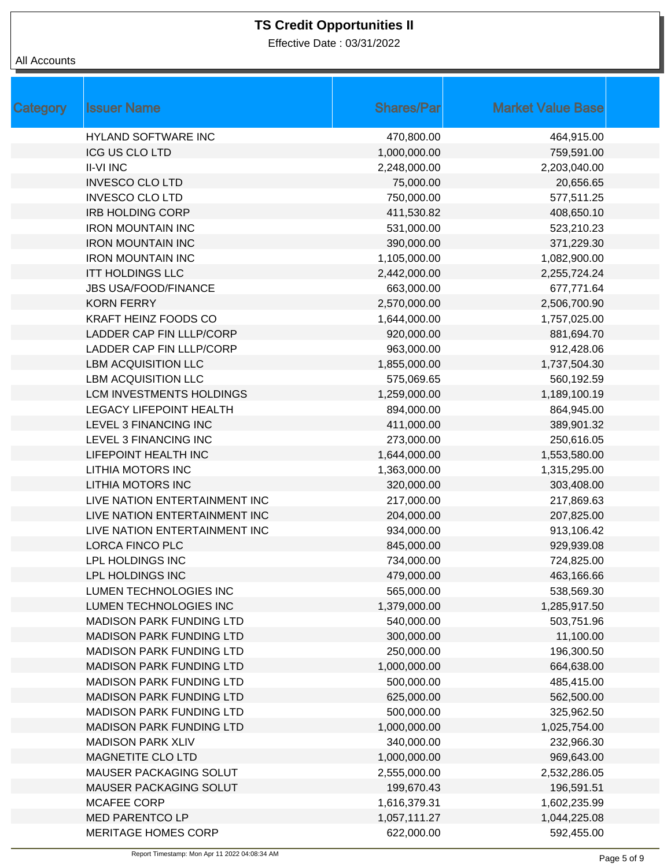Effective Date : 03/31/2022

| <b>Category</b> | <b>Issuer Name</b>              | <b>Shares/Par</b> | <b>Market Value Base</b> |
|-----------------|---------------------------------|-------------------|--------------------------|
|                 | <b>HYLAND SOFTWARE INC</b>      | 470,800.00        | 464,915.00               |
|                 | <b>ICG US CLO LTD</b>           | 1,000,000.00      | 759,591.00               |
|                 | <b>II-VI INC</b>                | 2,248,000.00      | 2,203,040.00             |
|                 | <b>INVESCO CLO LTD</b>          | 75,000.00         | 20,656.65                |
|                 | <b>INVESCO CLO LTD</b>          | 750,000.00        | 577,511.25               |
|                 | <b>IRB HOLDING CORP</b>         | 411,530.82        | 408,650.10               |
|                 | <b>IRON MOUNTAIN INC</b>        | 531,000.00        | 523,210.23               |
|                 | <b>IRON MOUNTAIN INC</b>        | 390,000.00        | 371,229.30               |
|                 | <b>IRON MOUNTAIN INC</b>        | 1,105,000.00      | 1,082,900.00             |
|                 | <b>ITT HOLDINGS LLC</b>         | 2,442,000.00      | 2,255,724.24             |
|                 | <b>JBS USA/FOOD/FINANCE</b>     | 663,000.00        | 677,771.64               |
|                 | <b>KORN FERRY</b>               | 2,570,000.00      | 2,506,700.90             |
|                 | KRAFT HEINZ FOODS CO            | 1,644,000.00      | 1,757,025.00             |
|                 | LADDER CAP FIN LLLP/CORP        | 920,000.00        | 881,694.70               |
|                 | LADDER CAP FIN LLLP/CORP        | 963,000.00        | 912,428.06               |
|                 | <b>LBM ACQUISITION LLC</b>      | 1,855,000.00      | 1,737,504.30             |
|                 | <b>LBM ACQUISITION LLC</b>      | 575,069.65        | 560,192.59               |
|                 | LCM INVESTMENTS HOLDINGS        | 1,259,000.00      | 1,189,100.19             |
|                 | <b>LEGACY LIFEPOINT HEALTH</b>  | 894,000.00        | 864,945.00               |
|                 | LEVEL 3 FINANCING INC           | 411,000.00        | 389,901.32               |
|                 | LEVEL 3 FINANCING INC           | 273,000.00        | 250,616.05               |
|                 | LIFEPOINT HEALTH INC            | 1,644,000.00      | 1,553,580.00             |
|                 | LITHIA MOTORS INC               | 1,363,000.00      | 1,315,295.00             |
|                 | <b>LITHIA MOTORS INC</b>        | 320,000.00        | 303,408.00               |
|                 | LIVE NATION ENTERTAINMENT INC   | 217,000.00        | 217,869.63               |
|                 | LIVE NATION ENTERTAINMENT INC   | 204,000.00        | 207,825.00               |
|                 | LIVE NATION ENTERTAINMENT INC   | 934,000.00        | 913,106.42               |
|                 | <b>LORCA FINCO PLC</b>          | 845,000.00        | 929,939.08               |
|                 | LPL HOLDINGS INC                | 734,000.00        | 724,825.00               |
|                 | LPL HOLDINGS INC                | 479,000.00        | 463,166.66               |
|                 | LUMEN TECHNOLOGIES INC          | 565,000.00        | 538,569.30               |
|                 | LUMEN TECHNOLOGIES INC          | 1,379,000.00      | 1,285,917.50             |
|                 | <b>MADISON PARK FUNDING LTD</b> | 540,000.00        | 503,751.96               |
|                 | <b>MADISON PARK FUNDING LTD</b> | 300,000.00        | 11,100.00                |
|                 | <b>MADISON PARK FUNDING LTD</b> | 250,000.00        | 196,300.50               |
|                 | <b>MADISON PARK FUNDING LTD</b> | 1,000,000.00      | 664,638.00               |
|                 | <b>MADISON PARK FUNDING LTD</b> | 500,000.00        | 485,415.00               |
|                 | <b>MADISON PARK FUNDING LTD</b> | 625,000.00        | 562,500.00               |
|                 | <b>MADISON PARK FUNDING LTD</b> | 500,000.00        | 325,962.50               |
|                 | <b>MADISON PARK FUNDING LTD</b> | 1,000,000.00      | 1,025,754.00             |
|                 | <b>MADISON PARK XLIV</b>        | 340,000.00        | 232,966.30               |
|                 | MAGNETITE CLO LTD               | 1,000,000.00      | 969,643.00               |
|                 | MAUSER PACKAGING SOLUT          | 2,555,000.00      | 2,532,286.05             |
|                 | MAUSER PACKAGING SOLUT          | 199,670.43        | 196,591.51               |
|                 | <b>MCAFEE CORP</b>              | 1,616,379.31      | 1,602,235.99             |
|                 | <b>MED PARENTCO LP</b>          | 1,057,111.27      | 1,044,225.08             |
|                 | <b>MERITAGE HOMES CORP</b>      | 622,000.00        | 592,455.00               |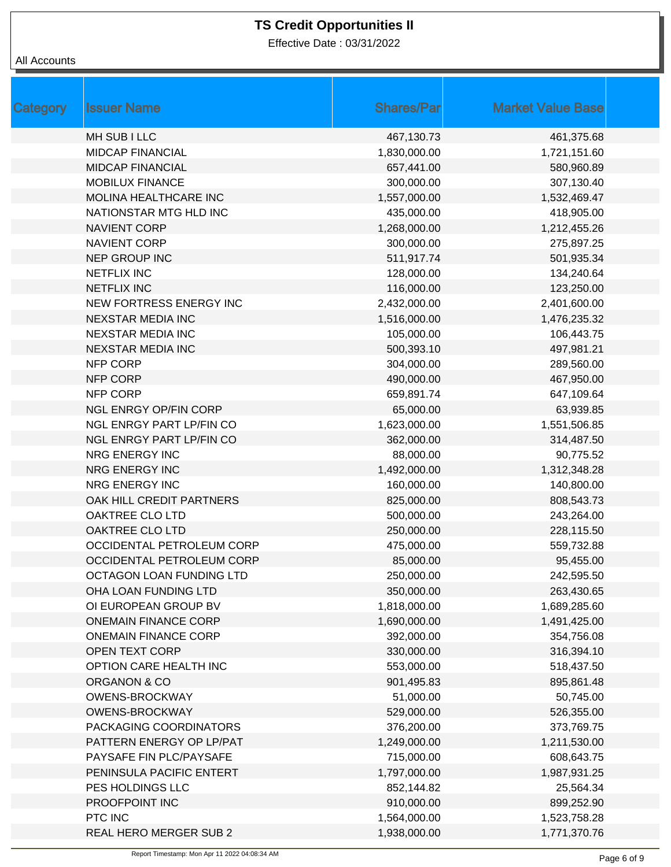Effective Date : 03/31/2022

| Category | <b>Issuer Name</b>           | <b>Shares/Par</b> | <b>Market Value Base</b> |
|----------|------------------------------|-------------------|--------------------------|
|          | <b>MH SUB I LLC</b>          | 467,130.73        | 461,375.68               |
|          | <b>MIDCAP FINANCIAL</b>      | 1,830,000.00      | 1,721,151.60             |
|          | <b>MIDCAP FINANCIAL</b>      | 657,441.00        | 580,960.89               |
|          | <b>MOBILUX FINANCE</b>       | 300,000.00        | 307,130.40               |
|          | MOLINA HEALTHCARE INC        | 1,557,000.00      | 1,532,469.47             |
|          | NATIONSTAR MTG HLD INC       | 435,000.00        | 418,905.00               |
|          | <b>NAVIENT CORP</b>          | 1,268,000.00      | 1,212,455.26             |
|          | <b>NAVIENT CORP</b>          | 300,000.00        | 275,897.25               |
|          | <b>NEP GROUP INC</b>         | 511,917.74        | 501,935.34               |
|          | <b>NETFLIX INC</b>           | 128,000.00        | 134,240.64               |
|          | <b>NETFLIX INC</b>           | 116,000.00        | 123,250.00               |
|          | NEW FORTRESS ENERGY INC      | 2,432,000.00      | 2,401,600.00             |
|          | <b>NEXSTAR MEDIA INC</b>     | 1,516,000.00      | 1,476,235.32             |
|          | <b>NEXSTAR MEDIA INC</b>     | 105,000.00        | 106,443.75               |
|          | <b>NEXSTAR MEDIA INC</b>     | 500,393.10        | 497,981.21               |
|          | <b>NFP CORP</b>              | 304,000.00        | 289,560.00               |
|          | <b>NFP CORP</b>              | 490,000.00        | 467,950.00               |
|          | <b>NFP CORP</b>              | 659,891.74        | 647,109.64               |
|          | <b>NGL ENRGY OP/FIN CORP</b> | 65,000.00         | 63,939.85                |
|          | NGL ENRGY PART LP/FIN CO     | 1,623,000.00      | 1,551,506.85             |
|          | NGL ENRGY PART LP/FIN CO     | 362,000.00        | 314,487.50               |
|          | NRG ENERGY INC               | 88,000.00         | 90,775.52                |
|          | NRG ENERGY INC               | 1,492,000.00      | 1,312,348.28             |
|          | NRG ENERGY INC               | 160,000.00        | 140,800.00               |
|          | OAK HILL CREDIT PARTNERS     | 825,000.00        | 808,543.73               |
|          | OAKTREE CLO LTD              | 500,000.00        | 243,264.00               |
|          | OAKTREE CLO LTD              | 250,000.00        | 228,115.50               |
|          | OCCIDENTAL PETROLEUM CORP    | 475,000.00        | 559,732.88               |
|          | OCCIDENTAL PETROLEUM CORP    | 85,000.00         | 95,455.00                |
|          | OCTAGON LOAN FUNDING LTD     | 250,000.00        | 242,595.50               |
|          | OHA LOAN FUNDING LTD         | 350,000.00        | 263,430.65               |
|          | OI EUROPEAN GROUP BV         | 1,818,000.00      | 1,689,285.60             |
|          | <b>ONEMAIN FINANCE CORP</b>  | 1,690,000.00      | 1,491,425.00             |
|          | <b>ONEMAIN FINANCE CORP</b>  | 392,000.00        | 354,756.08               |
|          | <b>OPEN TEXT CORP</b>        | 330,000.00        | 316,394.10               |
|          | OPTION CARE HEALTH INC       | 553,000.00        | 518,437.50               |
|          | ORGANON & CO                 | 901,495.83        | 895,861.48               |
|          | <b>OWENS-BROCKWAY</b>        | 51,000.00         | 50,745.00                |
|          | <b>OWENS-BROCKWAY</b>        | 529,000.00        | 526,355.00               |
|          | PACKAGING COORDINATORS       | 376,200.00        | 373,769.75               |
|          | PATTERN ENERGY OP LP/PAT     | 1,249,000.00      | 1,211,530.00             |
|          | PAYSAFE FIN PLC/PAYSAFE      | 715,000.00        | 608,643.75               |
|          | PENINSULA PACIFIC ENTERT     | 1,797,000.00      | 1,987,931.25             |
|          | PES HOLDINGS LLC             | 852,144.82        | 25,564.34                |
|          | PROOFPOINT INC               | 910,000.00        | 899,252.90               |
|          | PTC INC                      | 1,564,000.00      | 1,523,758.28             |
|          | REAL HERO MERGER SUB 2       | 1,938,000.00      | 1,771,370.76             |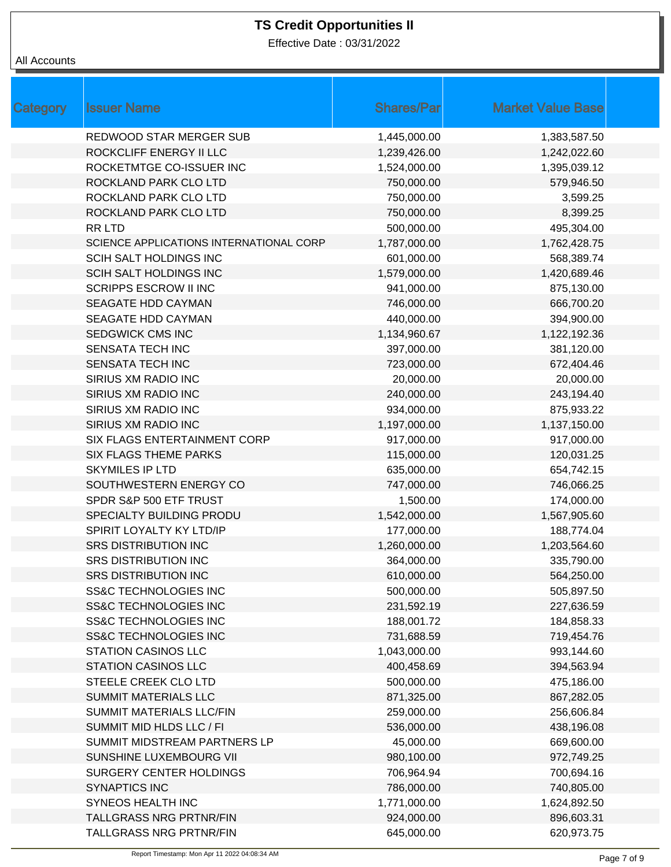Effective Date : 03/31/2022

| Category | <b>Issuer Name</b>                      | <b>Shares/Par</b> | <b>Market Value Base</b> |  |
|----------|-----------------------------------------|-------------------|--------------------------|--|
|          | <b>REDWOOD STAR MERGER SUB</b>          | 1,445,000.00      | 1,383,587.50             |  |
|          | ROCKCLIFF ENERGY II LLC                 | 1,239,426.00      | 1,242,022.60             |  |
|          | ROCKETMTGE CO-ISSUER INC                | 1,524,000.00      | 1,395,039.12             |  |
|          | ROCKLAND PARK CLO LTD                   | 750,000.00        | 579,946.50               |  |
|          | ROCKLAND PARK CLO LTD                   | 750,000.00        | 3,599.25                 |  |
|          | ROCKLAND PARK CLO LTD                   | 750,000.00        | 8,399.25                 |  |
|          | RR LTD                                  | 500,000.00        | 495,304.00               |  |
|          | SCIENCE APPLICATIONS INTERNATIONAL CORP | 1,787,000.00      | 1,762,428.75             |  |
|          | SCIH SALT HOLDINGS INC                  | 601,000.00        | 568,389.74               |  |
|          | SCIH SALT HOLDINGS INC                  | 1,579,000.00      | 1,420,689.46             |  |
|          | <b>SCRIPPS ESCROW II INC</b>            | 941,000.00        | 875,130.00               |  |
|          | SEAGATE HDD CAYMAN                      | 746,000.00        | 666,700.20               |  |
|          | SEAGATE HDD CAYMAN                      | 440,000.00        | 394,900.00               |  |
|          | <b>SEDGWICK CMS INC</b>                 | 1,134,960.67      | 1,122,192.36             |  |
|          | <b>SENSATA TECH INC</b>                 | 397,000.00        | 381,120.00               |  |
|          | SENSATA TECH INC                        | 723,000.00        | 672,404.46               |  |
|          | SIRIUS XM RADIO INC                     | 20,000.00         | 20,000.00                |  |
|          | SIRIUS XM RADIO INC                     | 240,000.00        | 243,194.40               |  |
|          | SIRIUS XM RADIO INC                     | 934,000.00        | 875,933.22               |  |
|          | SIRIUS XM RADIO INC                     | 1,197,000.00      | 1,137,150.00             |  |
|          | SIX FLAGS ENTERTAINMENT CORP            | 917,000.00        | 917,000.00               |  |
|          | <b>SIX FLAGS THEME PARKS</b>            | 115,000.00        | 120,031.25               |  |
|          | <b>SKYMILES IP LTD</b>                  | 635,000.00        | 654,742.15               |  |
|          | SOUTHWESTERN ENERGY CO                  | 747,000.00        | 746,066.25               |  |
|          | SPDR S&P 500 ETF TRUST                  | 1,500.00          | 174,000.00               |  |
|          | SPECIALTY BUILDING PRODU                | 1,542,000.00      | 1,567,905.60             |  |
|          | SPIRIT LOYALTY KY LTD/IP                | 177,000.00        | 188,774.04               |  |
|          | <b>SRS DISTRIBUTION INC</b>             | 1,260,000.00      | 1,203,564.60             |  |
|          | <b>SRS DISTRIBUTION INC</b>             | 364,000.00        | 335,790.00               |  |
|          | <b>SRS DISTRIBUTION INC</b>             | 610,000.00        | 564,250.00               |  |
|          | <b>SS&amp;C TECHNOLOGIES INC</b>        | 500,000.00        | 505,897.50               |  |
|          | <b>SS&amp;C TECHNOLOGIES INC</b>        | 231,592.19        | 227,636.59               |  |
|          | <b>SS&amp;C TECHNOLOGIES INC</b>        | 188,001.72        | 184,858.33               |  |
|          | <b>SS&amp;C TECHNOLOGIES INC</b>        | 731,688.59        | 719,454.76               |  |
|          | STATION CASINOS LLC                     | 1,043,000.00      | 993,144.60               |  |
|          | <b>STATION CASINOS LLC</b>              | 400,458.69        | 394,563.94               |  |
|          | STEELE CREEK CLO LTD                    | 500,000.00        | 475,186.00               |  |
|          | SUMMIT MATERIALS LLC                    | 871,325.00        | 867,282.05               |  |
|          | SUMMIT MATERIALS LLC/FIN                | 259,000.00        | 256,606.84               |  |
|          | SUMMIT MID HLDS LLC / FI                | 536,000.00        | 438,196.08               |  |
|          | SUMMIT MIDSTREAM PARTNERS LP            | 45,000.00         | 669,600.00               |  |
|          | SUNSHINE LUXEMBOURG VII                 | 980,100.00        | 972,749.25               |  |
|          | SURGERY CENTER HOLDINGS                 | 706,964.94        | 700,694.16               |  |
|          | <b>SYNAPTICS INC</b>                    | 786,000.00        | 740,805.00               |  |
|          | SYNEOS HEALTH INC                       | 1,771,000.00      | 1,624,892.50             |  |
|          | <b>TALLGRASS NRG PRTNR/FIN</b>          | 924,000.00        | 896,603.31               |  |
|          | TALLGRASS NRG PRTNR/FIN                 | 645,000.00        | 620,973.75               |  |
|          |                                         |                   |                          |  |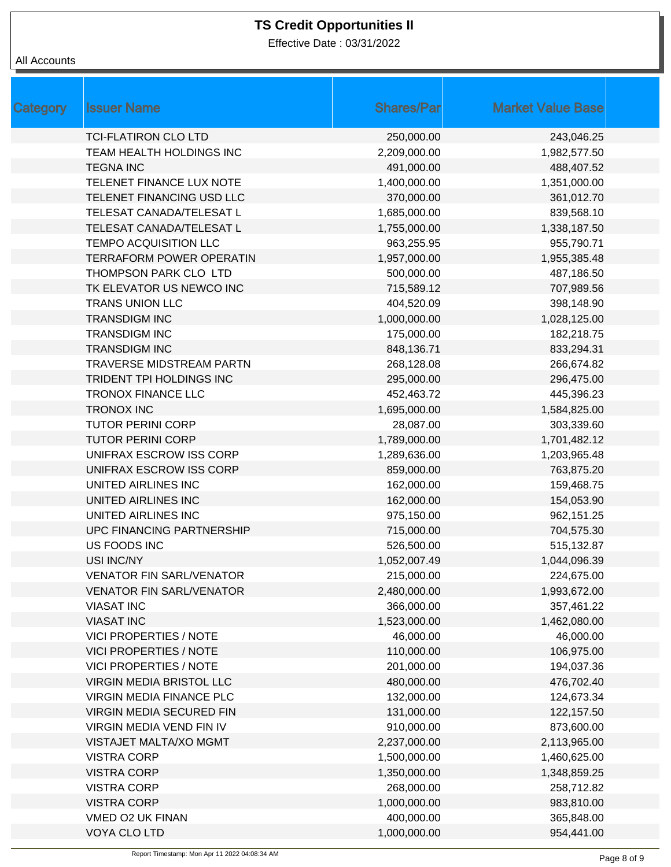Effective Date : 03/31/2022

| <b>Category</b> | <b>Issuer Name</b>              | <b>Shares/Par</b> | <b>Market Value Base</b> |
|-----------------|---------------------------------|-------------------|--------------------------|
|                 | <b>TCI-FLATIRON CLO LTD</b>     | 250,000.00        | 243,046.25               |
|                 | TEAM HEALTH HOLDINGS INC        | 2,209,000.00      | 1,982,577.50             |
|                 | <b>TEGNA INC</b>                | 491,000.00        | 488,407.52               |
|                 | TELENET FINANCE LUX NOTE        | 1,400,000.00      | 1,351,000.00             |
|                 | TELENET FINANCING USD LLC       | 370,000.00        | 361,012.70               |
|                 | TELESAT CANADA/TELESAT L        | 1,685,000.00      | 839,568.10               |
|                 | TELESAT CANADA/TELESAT L        | 1,755,000.00      | 1,338,187.50             |
|                 | <b>TEMPO ACQUISITION LLC</b>    | 963,255.95        | 955,790.71               |
|                 | <b>TERRAFORM POWER OPERATIN</b> | 1,957,000.00      | 1,955,385.48             |
|                 | THOMPSON PARK CLO LTD           | 500,000.00        | 487,186.50               |
|                 | TK ELEVATOR US NEWCO INC        | 715,589.12        | 707,989.56               |
|                 | <b>TRANS UNION LLC</b>          | 404,520.09        | 398,148.90               |
|                 | <b>TRANSDIGM INC</b>            | 1,000,000.00      | 1,028,125.00             |
|                 | <b>TRANSDIGM INC</b>            | 175,000.00        | 182,218.75               |
|                 | <b>TRANSDIGM INC</b>            | 848,136.71        | 833,294.31               |
|                 | <b>TRAVERSE MIDSTREAM PARTN</b> | 268,128.08        | 266,674.82               |
|                 | TRIDENT TPI HOLDINGS INC        | 295,000.00        | 296,475.00               |
|                 | <b>TRONOX FINANCE LLC</b>       | 452,463.72        | 445,396.23               |
|                 | <b>TRONOX INC</b>               | 1,695,000.00      | 1,584,825.00             |
|                 | <b>TUTOR PERINI CORP</b>        | 28,087.00         | 303,339.60               |
|                 | <b>TUTOR PERINI CORP</b>        | 1,789,000.00      | 1,701,482.12             |
|                 | UNIFRAX ESCROW ISS CORP         | 1,289,636.00      | 1,203,965.48             |
|                 | UNIFRAX ESCROW ISS CORP         | 859,000.00        | 763,875.20               |
|                 | UNITED AIRLINES INC             | 162,000.00        | 159,468.75               |
|                 | UNITED AIRLINES INC             | 162,000.00        | 154,053.90               |
|                 | UNITED AIRLINES INC             | 975,150.00        | 962,151.25               |
|                 | UPC FINANCING PARTNERSHIP       | 715,000.00        | 704,575.30               |
|                 | US FOODS INC                    | 526,500.00        | 515,132.87               |
|                 | USI INC/NY                      | 1,052,007.49      | 1,044,096.39             |
|                 | <b>VENATOR FIN SARL/VENATOR</b> | 215,000.00        | 224,675.00               |
|                 | <b>VENATOR FIN SARL/VENATOR</b> | 2,480,000.00      | 1,993,672.00             |
|                 | <b>VIASAT INC</b>               | 366,000.00        | 357,461.22               |
|                 | <b>VIASAT INC</b>               | 1,523,000.00      | 1,462,080.00             |
|                 | <b>VICI PROPERTIES / NOTE</b>   | 46,000.00         | 46,000.00                |
|                 | <b>VICI PROPERTIES / NOTE</b>   | 110,000.00        | 106,975.00               |
|                 | <b>VICI PROPERTIES / NOTE</b>   | 201,000.00        | 194,037.36               |
|                 | VIRGIN MEDIA BRISTOL LLC        | 480,000.00        | 476,702.40               |
|                 | <b>VIRGIN MEDIA FINANCE PLC</b> | 132,000.00        | 124,673.34               |
|                 | <b>VIRGIN MEDIA SECURED FIN</b> | 131,000.00        | 122,157.50               |
|                 | <b>VIRGIN MEDIA VEND FIN IV</b> | 910,000.00        | 873,600.00               |
|                 | VISTAJET MALTA/XO MGMT          | 2,237,000.00      | 2,113,965.00             |
|                 | <b>VISTRA CORP</b>              | 1,500,000.00      | 1,460,625.00             |
|                 | <b>VISTRA CORP</b>              | 1,350,000.00      | 1,348,859.25             |
|                 | <b>VISTRA CORP</b>              | 268,000.00        | 258,712.82               |
|                 | <b>VISTRA CORP</b>              | 1,000,000.00      | 983,810.00               |
|                 | VMED O2 UK FINAN                | 400,000.00        | 365,848.00               |
|                 | VOYA CLO LTD                    | 1,000,000.00      | 954,441.00               |